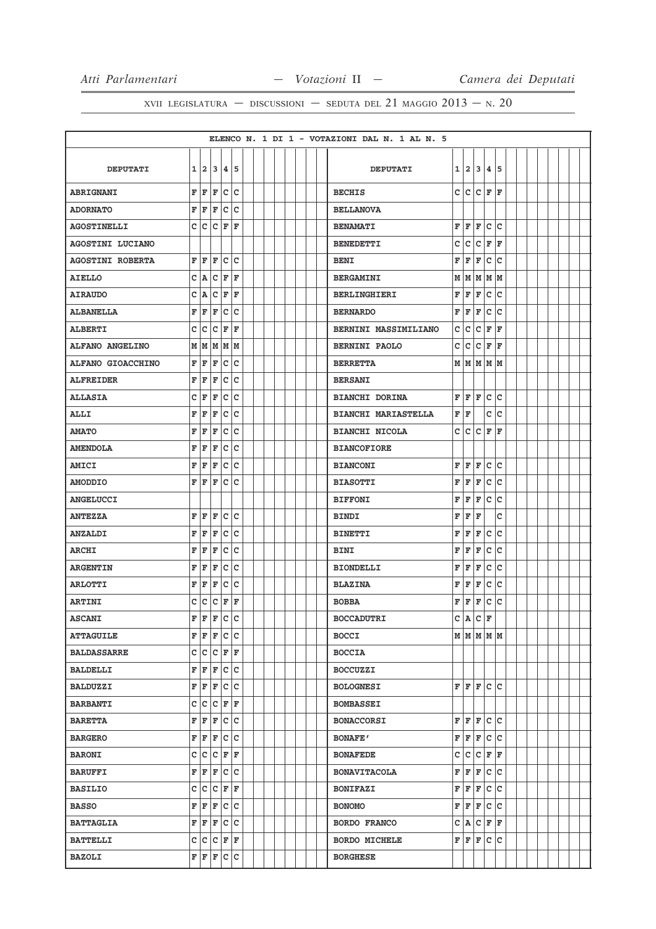|                         |   |                    |                 |     |             |  |  |  |  | ELENCO N. 1 DI 1 - VOTAZIONI DAL N. 1 AL N. 5 |   |         |           |              |                   |  |  |  |  |
|-------------------------|---|--------------------|-----------------|-----|-------------|--|--|--|--|-----------------------------------------------|---|---------|-----------|--------------|-------------------|--|--|--|--|
|                         |   |                    |                 |     |             |  |  |  |  |                                               |   |         |           |              |                   |  |  |  |  |
| <b>DEPUTATI</b>         |   | 1 2                | 13              | 14. | 15          |  |  |  |  | <b>DEPUTATI</b>                               | 1 | 12.     | 3         | 4            | 5                 |  |  |  |  |
| <b>ABRIGNANI</b>        | F | F                  | F               | lc. | c           |  |  |  |  | <b>BECHIS</b>                                 | C | lc.     | lc.       | F            | F                 |  |  |  |  |
| <b>ADORNATO</b>         | F | F                  | F               | c   | c           |  |  |  |  | <b>BELLANOVA</b>                              |   |         |           |              |                   |  |  |  |  |
| <b>AGOSTINELLI</b>      | c | $\bar{\mathbf{C}}$ | c               | F   | l F         |  |  |  |  | <b>BENAMATI</b>                               | F | ΙF      | F         | $\mathbf c$  | c                 |  |  |  |  |
| <b>AGOSTINI LUCIANO</b> |   |                    |                 |     |             |  |  |  |  | <b>BENEDETTI</b>                              | c | c       | Iс        | F            | ΙF                |  |  |  |  |
| <b>AGOSTINI ROBERTA</b> | F | ΙF                 | F               | lc. | C           |  |  |  |  | <b>BENI</b>                                   | F | F       | F         | c            | c                 |  |  |  |  |
| AIELLO                  | c | ١A                 | c               | F   | F           |  |  |  |  | <b>BERGAMINI</b>                              | M | M       | M         | M            | lм                |  |  |  |  |
| <b>AIRAUDO</b>          | c | A                  | с               | F   | F           |  |  |  |  | <b>BERLINGHIERI</b>                           | F | F       | F         | c            | c                 |  |  |  |  |
| <b>ALBANELLA</b>        | F | F                  | F               | c   | lc          |  |  |  |  | <b>BERNARDO</b>                               | F | F       | F         | c            | ١c                |  |  |  |  |
| <b>ALBERTI</b>          | C | C                  | c               | F   | $\mathbf F$ |  |  |  |  | <b>BERNINI MASSIMILIANO</b>                   | C | c       | c         | F            | ΙF                |  |  |  |  |
| ALFANO ANGELINO         | М | M                  | M               | M   | M           |  |  |  |  | <b>BERNINI PAOLO</b>                          | C | c       | c         | F            | F                 |  |  |  |  |
| ALFANO GIOACCHINO       | F | F                  | F               | c   | c           |  |  |  |  | <b>BERRETTA</b>                               |   |         | MMMMM     |              |                   |  |  |  |  |
| <b>ALFREIDER</b>        | F | F                  | F               | c   | C           |  |  |  |  | <b>BERSANI</b>                                |   |         |           |              |                   |  |  |  |  |
| <b>ALLASIA</b>          | c | F                  | F               | c   | c           |  |  |  |  | <b>BIANCHI DORINA</b>                         | F | F       | F         | lc.          | lc                |  |  |  |  |
| ALLI                    | F | F                  | F               | c   | c           |  |  |  |  | <b>BIANCHI MARIASTELLA</b>                    | F | F       |           | с            | Ιc                |  |  |  |  |
| <b>AMATO</b>            | F | F                  | F               | c   | C           |  |  |  |  | <b>BIANCHI NICOLA</b>                         | C | lc.     | c         | F            | ΙF                |  |  |  |  |
| <b>AMENDOLA</b>         | F | F                  | F               | C   | C           |  |  |  |  | <b>BIANCOFIORE</b>                            |   |         |           |              |                   |  |  |  |  |
| <b>AMICI</b>            | F | F                  | F               | c   | C           |  |  |  |  | <b>BIANCONI</b>                               | F | l F     | F         | c            | c                 |  |  |  |  |
| <b>AMODDIO</b>          | F | F                  | F               | lc. | lc          |  |  |  |  | <b>BIASOTTI</b>                               | F | F       | F         | c            | Ιc                |  |  |  |  |
| <b>ANGELUCCI</b>        |   |                    |                 |     |             |  |  |  |  | <b>BIFFONI</b>                                | F | F       | F         | c            | c                 |  |  |  |  |
| <b>ANTEZZA</b>          | F | F                  | F               | c   | c           |  |  |  |  | <b>BINDI</b>                                  | F | F       | F         |              | c                 |  |  |  |  |
| <b>ANZALDI</b>          | F | F                  | F               | c   | c           |  |  |  |  | <b>BINETTI</b>                                | F | F       | F         | c            | c                 |  |  |  |  |
| <b>ARCHI</b>            | F | F                  | F               | c   | C           |  |  |  |  | <b>BINI</b>                                   | F | F       | F         | $\mathtt{C}$ | lc                |  |  |  |  |
| <b>ARGENTIN</b>         | F | F                  | F               | C   | C           |  |  |  |  | <b>BIONDELLI</b>                              | F | F       | F         | $\mathbf c$  | lc                |  |  |  |  |
| <b>ARLOTTI</b>          | F | F                  | F               | c   | C           |  |  |  |  | <b>BLAZINA</b>                                | F | F       | F         | c            | c                 |  |  |  |  |
| <b>ARTINI</b>           | c | c                  | с               | F   | F           |  |  |  |  | <b>BOBBA</b>                                  | F | F       | F         | c            | Ιc                |  |  |  |  |
| <b>ASCANI</b>           | F | F                  | F               | lc. | c           |  |  |  |  | <b>BOCCADUTRI</b>                             | c | A       | lc.       | F            |                   |  |  |  |  |
| <b>ATTAGUILE</b>        |   |                    | F F F C C       |     |             |  |  |  |  | <b>BOCCI</b>                                  |   |         |           |              | M   M   M   M   M |  |  |  |  |
| <b>BALDASSARRE</b>      | c | $ {\bf c} $        | c               | F F |             |  |  |  |  | <b>BOCCIA</b>                                 |   |         |           |              |                   |  |  |  |  |
| <b>BALDELLI</b>         | F | F                  | F               | c c |             |  |  |  |  | <b>BOCCUZZI</b>                               |   |         |           |              |                   |  |  |  |  |
| <b>BALDUZZI</b>         | F |                    | F F             | c c |             |  |  |  |  | <b>BOLOGNESI</b>                              |   |         | F F F C C |              |                   |  |  |  |  |
| <b>BARBANTI</b>         | c | C                  | C F F           |     |             |  |  |  |  | <b>BOMBASSEI</b>                              |   |         |           |              |                   |  |  |  |  |
| <b>BARETTA</b>          | F | F                  | F               | c c |             |  |  |  |  | <b>BONACCORSI</b>                             | F |         | F F       | c c          |                   |  |  |  |  |
| <b>BARGERO</b>          | F | F                  | F               | c c |             |  |  |  |  | <b>BONAFE'</b>                                | F | F       | F         |              | c c               |  |  |  |  |
| <b>BARONI</b>           | c |                    | C C F F         |     |             |  |  |  |  | <b>BONAFEDE</b>                               | с |         | C C F F   |              |                   |  |  |  |  |
| <b>BARUFFI</b>          | F | F                  | F               | c   | c           |  |  |  |  | <b>BONAVITACOLA</b>                           | F | F       | F         | c            | lc                |  |  |  |  |
| <b>BASILIO</b>          |   |                    | c c c           | F F |             |  |  |  |  | <b>BONIFAZI</b>                               | F | F       | F         | c            | lc                |  |  |  |  |
| <b>BASSO</b>            | F |                    | $F$ $F$ $C$ $C$ |     |             |  |  |  |  | <b>BONOMO</b>                                 | F |         | F F       | c c          |                   |  |  |  |  |
| <b>BATTAGLIA</b>        | F |                    | F F             | c c |             |  |  |  |  | <b>BORDO FRANCO</b>                           | c |         | A C F F   |              |                   |  |  |  |  |
| <b>BATTELLI</b>         |   |                    | C C C F F       |     |             |  |  |  |  | <b>BORDO MICHELE</b>                          | F | $F$ $F$ |           |              | c c               |  |  |  |  |
| <b>BAZOLI</b>           | F | F                  | F               | c c |             |  |  |  |  | <b>BORGHESE</b>                               |   |         |           |              |                   |  |  |  |  |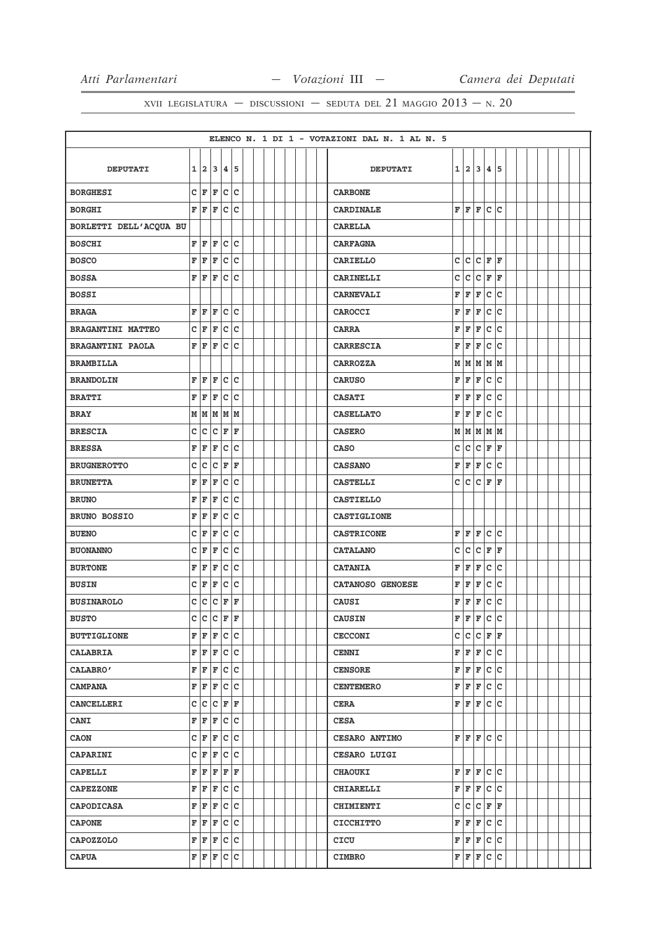|                          |              |       |                 |                        |    |  |  |  |  | ELENCO N. 1 DI 1 - VOTAZIONI DAL N. 1 AL N. 5 |   |       |           |              |     |  |  |  |  |
|--------------------------|--------------|-------|-----------------|------------------------|----|--|--|--|--|-----------------------------------------------|---|-------|-----------|--------------|-----|--|--|--|--|
|                          |              |       |                 |                        |    |  |  |  |  |                                               |   |       |           |              |     |  |  |  |  |
| <b>DEPUTATI</b>          |              | 1 2 3 |                 | 45                     |    |  |  |  |  | <b>DEPUTATI</b>                               | 1 | 12.   | 3         | 4            | 5   |  |  |  |  |
| <b>BORGHESI</b>          |              | C F   | F               | c c                    |    |  |  |  |  | <b>CARBONE</b>                                |   |       |           |              |     |  |  |  |  |
| <b>BORGHI</b>            | F            | F     | F               | $ {\rm c}\, {\rm c}\,$ |    |  |  |  |  | <b>CARDINALE</b>                              |   | F F F |           | c            | lc  |  |  |  |  |
| BORLETTI DELL'ACQUA BU   |              |       |                 |                        |    |  |  |  |  | <b>CARELLA</b>                                |   |       |           |              |     |  |  |  |  |
| <b>BOSCHI</b>            | $\mathbf F$  | F     | F               | c c                    |    |  |  |  |  | <b>CARFAGNA</b>                               |   |       |           |              |     |  |  |  |  |
| <b>BOSCO</b>             | F            | F     | F               | c                      | C  |  |  |  |  | <b>CARIELLO</b>                               | c | lc.   | c         | F            | F   |  |  |  |  |
| <b>BOSSA</b>             | F            | F     | F               | c                      | lc |  |  |  |  | <b>CARINELLI</b>                              | C | c     | c         | F            | ΙF  |  |  |  |  |
| <b>BOSSI</b>             |              |       |                 |                        |    |  |  |  |  | <b>CARNEVALI</b>                              | F | F     | F         | $\mathtt{C}$ | lc  |  |  |  |  |
| <b>BRAGA</b>             | F            | F     | F               | $ {\rm c}\, {\rm c}\,$ |    |  |  |  |  | CAROCCI                                       | F | F     | F         | c            | lc  |  |  |  |  |
| <b>BRAGANTINI MATTEO</b> | C            | F     | F               | c                      | c  |  |  |  |  | <b>CARRA</b>                                  | F | F     | F         | c            | ١c  |  |  |  |  |
| <b>BRAGANTINI PAOLA</b>  | F            | F     | F               | lc.                    | C  |  |  |  |  | <b>CARRESCIA</b>                              | F | l F   | F         | C            | c   |  |  |  |  |
| <b>BRAMBILLA</b>         |              |       |                 |                        |    |  |  |  |  | <b>CARROZZA</b>                               | M | M     | M         | M  M         |     |  |  |  |  |
| <b>BRANDOLIN</b>         | F            | F     | F               | c                      | C  |  |  |  |  | <b>CARUSO</b>                                 | F | F     | F         | c            | ١c  |  |  |  |  |
| <b>BRATTI</b>            | F            | F     | F               | c                      | c  |  |  |  |  | <b>CASATI</b>                                 | F | F     | F         | c            | lc  |  |  |  |  |
| <b>BRAY</b>              | M            | M     | M               | M                      | M  |  |  |  |  | <b>CASELLATO</b>                              | F | F     | F         | $\mathbf c$  | lc  |  |  |  |  |
| <b>BRESCIA</b>           | c            | C     | C               | F                      | F  |  |  |  |  | <b>CASERO</b>                                 |   |       | M M M M M |              |     |  |  |  |  |
| <b>BRESSA</b>            | F            | F     | F               | c                      | c  |  |  |  |  | <b>CASO</b>                                   | c | c     | c         | F            | F   |  |  |  |  |
| <b>BRUGNEROTTO</b>       | C            | C     | C               | F                      | ΙF |  |  |  |  | <b>CASSANO</b>                                | F | F     | F         | c            | c   |  |  |  |  |
| <b>BRUNETTA</b>          | F            | F     | F               | c c                    |    |  |  |  |  | <b>CASTELLI</b>                               | c | lc.   | c         | F            | F   |  |  |  |  |
| <b>BRUNO</b>             | F            | F     | F               | c                      | c  |  |  |  |  | <b>CASTIELLO</b>                              |   |       |           |              |     |  |  |  |  |
| <b>BRUNO BOSSIO</b>      | F            | F     | F               | c                      | C  |  |  |  |  | <b>CASTIGLIONE</b>                            |   |       |           |              |     |  |  |  |  |
| <b>BUENO</b>             | c            | F     | F               | c                      | C  |  |  |  |  | <b>CASTRICONE</b>                             | F | F     | F         | lc.          | lc  |  |  |  |  |
| <b>BUONANNO</b>          | c            | F     | F               | c                      | C  |  |  |  |  | <b>CATALANO</b>                               | c | lc.   | c         | F            | F   |  |  |  |  |
| <b>BURTONE</b>           | F            | F     | F               | c                      | c  |  |  |  |  | <b>CATANIA</b>                                | F | F     | F         | c            | lc  |  |  |  |  |
| <b>BUSIN</b>             | C            | F     | F               | c                      | c  |  |  |  |  | CATANOSO GENOESE                              | F | F     | F         | $\mathtt{C}$ | lc  |  |  |  |  |
| <b>BUSINAROLO</b>        | C            | c     | C               | F                      | F  |  |  |  |  | <b>CAUSI</b>                                  | F | F     | F         | c            | lc  |  |  |  |  |
| <b>BUSTO</b>             | $\mathsf{C}$ | lc.   | lc.             | F                      | ΙF |  |  |  |  | <b>CAUSIN</b>                                 | F | F     | F         | c            | lc  |  |  |  |  |
| <b>BUTTIGLIONE</b>       | F            |       | $F$ $F$ $C$ $C$ |                        |    |  |  |  |  | <b>CECCONI</b>                                | с | c     | C F F     |              |     |  |  |  |  |
| <b>CALABRIA</b>          |              |       | F F F           | c c                    |    |  |  |  |  | <b>CENNI</b>                                  |   | F F   | F C C     |              |     |  |  |  |  |
| CALABRO'                 | F            | F     | F               | c c                    |    |  |  |  |  | <b>CENSORE</b>                                | F | F     | F         | c            | lc. |  |  |  |  |
| <b>CAMPANA</b>           | F            |       | $F$ $c$ $c$     |                        |    |  |  |  |  | <b>CENTEMERO</b>                              | F | F     | F         | c c          |     |  |  |  |  |
| <b>CANCELLERI</b>        | c            | c     | c               | F                      | F  |  |  |  |  | <b>CERA</b>                                   | F | F     | F         | c c          |     |  |  |  |  |
| <b>CANI</b>              | F            | F     | F               | c c                    |    |  |  |  |  | <b>CESA</b>                                   |   |       |           |              |     |  |  |  |  |
| <b>CAON</b>              | С            | F     | F               | lc.                    | c  |  |  |  |  | <b>CESARO ANTIMO</b>                          | F | lF.   | lF.       | c c          |     |  |  |  |  |
| <b>CAPARINI</b>          | С            | F     | F               | c c                    |    |  |  |  |  | <b>CESARO LUIGI</b>                           |   |       |           |              |     |  |  |  |  |
| <b>CAPELLI</b>           | F            | F     | F               | F F                    |    |  |  |  |  | <b>CHAOUKI</b>                                | F | F     | F         | lc.          | lc  |  |  |  |  |
| <b>CAPEZZONE</b>         | F            | F     | F               | c c                    |    |  |  |  |  | <b>CHIARELLI</b>                              | F | F     | F         | c            | lc  |  |  |  |  |
| CAPODICASA               | F            |       | F F             | c c                    |    |  |  |  |  | <b>CHIMIENTI</b>                              | с | lc.   | C F F     |              |     |  |  |  |  |
| <b>CAPONE</b>            | F            | F     | F               | c c                    |    |  |  |  |  | <b>CICCHITTO</b>                              | F | F     | F         | c c          |     |  |  |  |  |
| <b>CAPOZZOLO</b>         | F            |       | F F             | c c                    |    |  |  |  |  | CICU                                          | F | F F   |           | c c          |     |  |  |  |  |
| <b>CAPUA</b>             |              |       | F F F C C       |                        |    |  |  |  |  | <b>CIMBRO</b>                                 |   | F F F |           | c            | c   |  |  |  |  |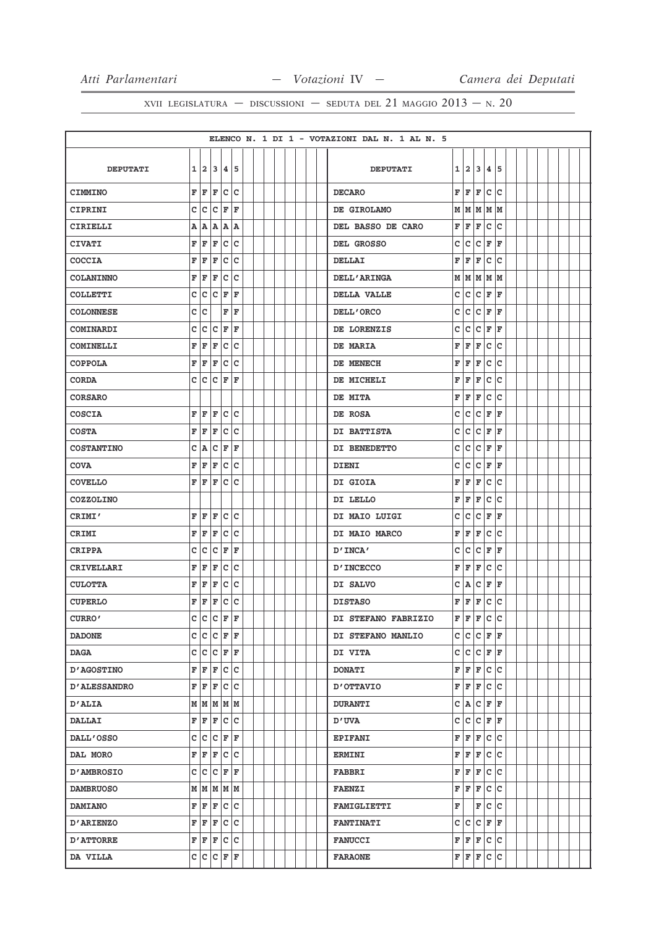|                     |              |    |                 |    |             |  |  |  |  | ELENCO N. 1 DI 1 - VOTAZIONI DAL N. 1 AL N. 5 |             |         |     |              |     |  |  |  |  |
|---------------------|--------------|----|-----------------|----|-------------|--|--|--|--|-----------------------------------------------|-------------|---------|-----|--------------|-----|--|--|--|--|
|                     |              |    |                 |    |             |  |  |  |  |                                               |             |         |     |              |     |  |  |  |  |
| <b>DEPUTATI</b>     |              |    | 1 2 3           |    | 4 5         |  |  |  |  | <b>DEPUTATI</b>                               | 1           | 213     |     | 4            | 5   |  |  |  |  |
| <b>CIMMINO</b>      | F            | F  | F               | c  | c           |  |  |  |  | <b>DECARO</b>                                 | $\mathbf F$ | F       | F   | c            | lc  |  |  |  |  |
| CIPRINI             | c            | C  | C               | F  | F           |  |  |  |  | DE GIROLAMO                                   |             | MMMMMM  |     |              |     |  |  |  |  |
| CIRIELLI            | Α            | A  | A               | A  | A           |  |  |  |  | DEL BASSO DE CARO                             | F           | F       | F   | $\mathbf c$  | ١c  |  |  |  |  |
| <b>CIVATI</b>       | F            | F  | F               | c  | c           |  |  |  |  | DEL GROSSO                                    | c           | lc.     | c   | F            | ΙF  |  |  |  |  |
| <b>COCCIA</b>       | F            | F  | F               | c  | C           |  |  |  |  | DELLAI                                        | F           | F       | F   | c            | c   |  |  |  |  |
| <b>COLANINNO</b>    | F            | F  | F               | c  | c           |  |  |  |  | <b>DELL'ARINGA</b>                            | М           |         |     | MMMMM        |     |  |  |  |  |
| COLLETTI            | c            | c  | c               | F  | F           |  |  |  |  | DELLA VALLE                                   | c           | c       | c   | F            | F   |  |  |  |  |
| <b>COLONNESE</b>    | c            | c  |                 | F  | F           |  |  |  |  | DELL'ORCO                                     | C           | c       | c   | F            | F   |  |  |  |  |
| COMINARDI           | c            | c  | c               | F  | $\mathbf F$ |  |  |  |  | DE LORENZIS                                   | c           | c       | lc. | F            | F   |  |  |  |  |
| COMINELLI           | F            | ΙF | F               | c  | C           |  |  |  |  | DE MARIA                                      | F           | F       | F   | c            | ١c  |  |  |  |  |
| <b>COPPOLA</b>      | F            | F  | F               |    | c c         |  |  |  |  | DE MENECH                                     | F           | F       | F   | c            | Ιc  |  |  |  |  |
| <b>CORDA</b>        | c            | Iс | c               | F  | ΙF          |  |  |  |  | DE MICHELI                                    | F           | F       | F   | с            | ١c  |  |  |  |  |
| <b>CORSARO</b>      |              |    |                 |    |             |  |  |  |  | DE MITA                                       | F           | F       | F   | c            | ١c  |  |  |  |  |
| COSCIA              | F            | F  | F               | c  | c           |  |  |  |  | DE ROSA                                       | C           | c       | c   | F            | F   |  |  |  |  |
| <b>COSTA</b>        | F            | F  | F               | c  | lc          |  |  |  |  | DI BATTISTA                                   | c           | lc.     | lc. | F            | ΙF  |  |  |  |  |
| <b>COSTANTINO</b>   | c            | A  | c               | F  | F           |  |  |  |  | DI BENEDETTO                                  | c           | c       | lc. | F            | F   |  |  |  |  |
| <b>COVA</b>         | F            | İF | F               | c  | c           |  |  |  |  | <b>DIENI</b>                                  | C           | c       | c   | F            | F   |  |  |  |  |
| <b>COVELLO</b>      | F            | F  | F               |    | c c         |  |  |  |  | DI GIOIA                                      | F           | F       | F   | $\mathtt{C}$ | Ιc  |  |  |  |  |
| <b>COZZOLINO</b>    |              |    |                 |    |             |  |  |  |  | DI LELLO                                      | F           | F       | F   | c            | c   |  |  |  |  |
| CRIMI'              | F            | F  | F               |    | c c         |  |  |  |  | DI MAIO LUIGI                                 | с           | lc.     | c   | F            | ΙF  |  |  |  |  |
| CRIMI               | F            | F  | F               | c  | c           |  |  |  |  | DI MAIO MARCO                                 | F           | F       | F   | $\mathtt{C}$ | c   |  |  |  |  |
| <b>CRIPPA</b>       | $\mathbf{C}$ | c  | c               | F  | F           |  |  |  |  | D'INCA'                                       | c           | lc.     | lc. | F            | F   |  |  |  |  |
| CRIVELLARI          | F            | F  | F               | c  | c           |  |  |  |  | <b>D'INCECCO</b>                              | F           | F       | F   | c            | Ιc  |  |  |  |  |
| <b>CULOTTA</b>      | F            | F  | F               | c  | C           |  |  |  |  | DI SALVO                                      | c           | A       | c   | F            | F   |  |  |  |  |
| <b>CUPERLO</b>      | F            | F  | F               |    | c c         |  |  |  |  | <b>DISTASO</b>                                | F           | F       | F   | c            | Iс  |  |  |  |  |
| CURRO'              | C            | lc | c               | ΙF | ΙF          |  |  |  |  | DI STEFANO FABRIZIO                           | F           | F       | F   | $\mathbf c$  | ١c  |  |  |  |  |
| <b>DADONE</b>       |              |    | C C C F F       |    |             |  |  |  |  | DI STEFANO MANLIO                             | c           | lc.     |     | C F F        |     |  |  |  |  |
| <b>DAGA</b>         | c            | c  | c               | F  | F           |  |  |  |  | DI VITA                                       | c           | c       | c   | F            | lF. |  |  |  |  |
| <b>D'AGOSTINO</b>   | F            | F  | F               |    | c c         |  |  |  |  | <b>DONATI</b>                                 | F           | F       | F   | lc.          | lc  |  |  |  |  |
| <b>D'ALESSANDRO</b> | F            |    | $F$ $F$ $C$ $C$ |    |             |  |  |  |  | <b>D'OTTAVIO</b>                              | F           | F F C C |     |              |     |  |  |  |  |
| <b>D'ALIA</b>       |              |    | M   M   M   M   |    |             |  |  |  |  | <b>DURANTI</b>                                | c           | A       | c   | F            | l F |  |  |  |  |
| <b>DALLAI</b>       | F            |    | F F             |    | c c         |  |  |  |  | <b>D'UVA</b>                                  | c           |         |     | C C F F      |     |  |  |  |  |
| <b>DALL'OSSO</b>    | c            | c  | c               | F  | F           |  |  |  |  | <b>EPIFANI</b>                                | F           | F       | F   | c c          |     |  |  |  |  |
| DAL MORO            | F            |    | F F C C         |    |             |  |  |  |  | <b>ERMINI</b>                                 | F           | F       | F   | c c          |     |  |  |  |  |
| <b>D'AMBROSIO</b>   | c            | c  | c               | F  | ΙF          |  |  |  |  | <b>FABBRI</b>                                 | F           | F       | F   | c            | lc  |  |  |  |  |
| <b>DAMBRUOSO</b>    |              |    | M   M   M   M   |    |             |  |  |  |  | <b>FAENZI</b>                                 | F           | F       | F   | lc.          | lc. |  |  |  |  |
| <b>DAMIANO</b>      | F            |    | F F             |    | c c         |  |  |  |  | <b>FAMIGLIETTI</b>                            | F           |         | F   | c c          |     |  |  |  |  |
| <b>D'ARIENZO</b>    | F            | F  | F               |    | c c         |  |  |  |  | <b>FANTINATI</b>                              | c           | lc.     | c   | F            | l F |  |  |  |  |
| <b>D'ATTORRE</b>    |              |    | F F F C C       |    |             |  |  |  |  | <b>FANUCCI</b>                                | F           | F F     |     | c c          |     |  |  |  |  |
| DA VILLA            |              |    | C C C F F       |    |             |  |  |  |  | <b>FARAONE</b>                                | F           | F       | F   | c            | ∣c  |  |  |  |  |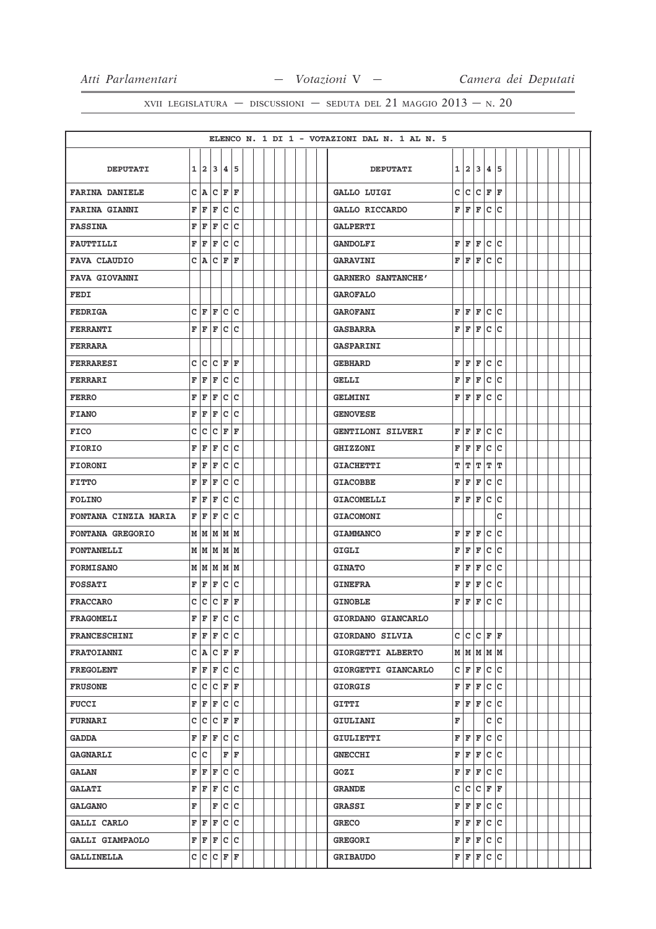|                         |   |            |                   |                    |       |  |  |  |  | ELENCO N. 1 DI 1 - VOTAZIONI DAL N. 1 AL N. 5 |   |           |     |              |     |  |  |  |  |
|-------------------------|---|------------|-------------------|--------------------|-------|--|--|--|--|-----------------------------------------------|---|-----------|-----|--------------|-----|--|--|--|--|
|                         |   |            |                   |                    |       |  |  |  |  |                                               |   |           |     |              |     |  |  |  |  |
| <b>DEPUTATI</b>         |   | $1\vert 2$ |                   | 34                 | 5     |  |  |  |  | <b>DEPUTATI</b>                               | 1 | 2         | 3   | 4            | 5   |  |  |  |  |
| <b>FARINA DANIELE</b>   |   | C A        |                   | C F F              |       |  |  |  |  | GALLO LUIGI                                   | c | c         | c   | F            | F   |  |  |  |  |
| <b>FARINA GIANNI</b>    | F | F          | F                 | c.                 | c     |  |  |  |  | GALLO RICCARDO                                | F | F         | F   | $\mathbf c$  | c   |  |  |  |  |
| <b>FASSINA</b>          | F | l F        | F                 | lc.                | lc    |  |  |  |  | <b>GALPERTI</b>                               |   |           |     |              |     |  |  |  |  |
| <b>FAUTTILLI</b>        |   | F F        | F                 |                    | c c   |  |  |  |  | <b>GANDOLFI</b>                               | F | F         | F   | c            | lc. |  |  |  |  |
| <b>FAVA CLAUDIO</b>     |   | C A        |                   | C F                | ΙF    |  |  |  |  | <b>GARAVINI</b>                               | F | l F       | F   | C            | c   |  |  |  |  |
| <b>FAVA GIOVANNI</b>    |   |            |                   |                    |       |  |  |  |  | <b>GARNERO SANTANCHE'</b>                     |   |           |     |              |     |  |  |  |  |
| FEDI                    |   |            |                   |                    |       |  |  |  |  | <b>GAROFALO</b>                               |   |           |     |              |     |  |  |  |  |
| <b>FEDRIGA</b>          |   |            | $C$ $F$ $C$ $C$   |                    |       |  |  |  |  | <b>GAROFANI</b>                               | F | F         | F   | c            | lc. |  |  |  |  |
| <b>FERRANTI</b>         |   |            | F F F C C         |                    |       |  |  |  |  | <b>GASBARRA</b>                               | F | F         | F   | lc.          | lc  |  |  |  |  |
| <b>FERRARA</b>          |   |            |                   |                    |       |  |  |  |  | <b>GASPARINI</b>                              |   |           |     |              |     |  |  |  |  |
| <b>FERRARESI</b>        |   | c c        |                   | C F F              |       |  |  |  |  | <b>GEBHARD</b>                                | F | l F       | F   | c            | lc. |  |  |  |  |
| <b>FERRARI</b>          | F | F          | F                 |                    | c c   |  |  |  |  | <b>GELLI</b>                                  | F | F         | F   | c            | c   |  |  |  |  |
| <b>FERRO</b>            |   | FF         | F                 |                    | c c   |  |  |  |  | <b>GELMINI</b>                                | F | F         | F   | c            | lc. |  |  |  |  |
| <b>FIANO</b>            | F | F          | F                 | c                  | c     |  |  |  |  | <b>GENOVESE</b>                               |   |           |     |              |     |  |  |  |  |
| <b>FICO</b>             | C | C          |                   | C F F              |       |  |  |  |  | <b>GENTILONI SILVERI</b>                      | F | F         | F   | $\mathtt{C}$ | lc. |  |  |  |  |
| <b>FIORIO</b>           | F | F          | F                 | $\bar{\mathbf{c}}$ | C     |  |  |  |  | <b>GHIZZONI</b>                               | F | F         | F   | $\mathbf c$  | c   |  |  |  |  |
| <b>FIORONI</b>          | F | F          | F                 | c                  | c     |  |  |  |  | <b>GIACHETTI</b>                              | т | т         | T   | T            | т   |  |  |  |  |
| <b>FITTO</b>            | F | F          | F                 |                    | c c   |  |  |  |  | <b>GIACOBBE</b>                               | F | F         | F   | c            | lc. |  |  |  |  |
| <b>FOLINO</b>           | F | F          | F                 | c                  | lc.   |  |  |  |  | <b>GIACOMELLI</b>                             | F | F         | F   | $\mathbf c$  | c   |  |  |  |  |
| FONTANA CINZIA MARIA    |   | FF         | F                 |                    | c c   |  |  |  |  | <b>GIACOMONI</b>                              |   |           |     |              | c   |  |  |  |  |
| <b>FONTANA GREGORIO</b> |   |            | M   M   M   M     |                    |       |  |  |  |  | <b>GIAMMANCO</b>                              | F | F         | F   | c            | c   |  |  |  |  |
| <b>FONTANELLI</b>       |   |            | MMMMM             |                    |       |  |  |  |  | <b>GIGLI</b>                                  | F | F         | F   | c            | lc. |  |  |  |  |
| <b>FORMISANO</b>        |   |            | M   M   M   M   M |                    |       |  |  |  |  | <b>GINATO</b>                                 | F | F         | F   | $\mathbf c$  | c   |  |  |  |  |
| <b>FOSSATI</b>          |   | FF         | F                 |                    | c c   |  |  |  |  | <b>GINEFRA</b>                                | F | F         | F   | c            | c   |  |  |  |  |
| <b>FRACCARO</b>         |   | c c        |                   | C F F              |       |  |  |  |  | <b>GINOBLE</b>                                | F | F         | F   | c            | lc. |  |  |  |  |
| <b>FRAGOMELI</b>        |   |            | F F F C C         |                    |       |  |  |  |  | GIORDANO GIANCARLO                            |   |           |     |              |     |  |  |  |  |
| <b>FRANCESCHINI</b>     |   |            | F F F C C         |                    |       |  |  |  |  | GIORDANO SILVIA                               |   | C C C F F |     |              |     |  |  |  |  |
| <b>FRATOIANNI</b>       |   |            | C A C F F         |                    |       |  |  |  |  | GIORGETTI ALBERTO                             |   | м м м м м |     |              |     |  |  |  |  |
| <b>FREGOLENT</b>        |   |            | F F F C C         |                    |       |  |  |  |  | GIORGETTI GIANCARLO                           | c | F         | F   | c c          |     |  |  |  |  |
| <b>FRUSONE</b>          |   |            | C C F F           |                    |       |  |  |  |  | GIORGIS                                       |   | FF        | F   | lc.          | lc. |  |  |  |  |
| <b>FUCCI</b>            |   |            | F F F C C         |                    |       |  |  |  |  | GITTI                                         |   | FF        | lF. | lc.          | lc  |  |  |  |  |
| <b>FURNARI</b>          |   |            | C C C F F         |                    |       |  |  |  |  | GIULIANI                                      | F |           |     | c            | lc. |  |  |  |  |
| <b>GADDA</b>            |   |            | F F F C C         |                    |       |  |  |  |  | <b>GIULIETTI</b>                              | F | F         | F   | $\mathtt{C}$ | lc. |  |  |  |  |
| <b>GAGNARLI</b>         |   | c c        |                   |                    | F F   |  |  |  |  | <b>GNECCHI</b>                                | F | F         | F   | c c          |     |  |  |  |  |
| <b>GALAN</b>            |   |            | F F F C C         |                    |       |  |  |  |  | GOZI                                          | F | F         | F   | c            | lc. |  |  |  |  |
| <b>GALATI</b>           |   |            | F F F C C         |                    |       |  |  |  |  | <b>GRANDE</b>                                 | c | c         | c   | F            | l F |  |  |  |  |
| <b>GALGANO</b>          | F |            |                   |                    | F C C |  |  |  |  | <b>GRASSI</b>                                 | F | F         | F   | lc.          | lc. |  |  |  |  |
| <b>GALLI CARLO</b>      |   |            | F F F C C         |                    |       |  |  |  |  | <b>GRECO</b>                                  | F | F         | F   | lc.          | lc  |  |  |  |  |
| GALLI GIAMPAOLO         |   |            | F F F C C         |                    |       |  |  |  |  | <b>GREGORI</b>                                | F | F         | F   | c            | c   |  |  |  |  |
| <b>GALLINELLA</b>       |   |            | C  C C F F        |                    |       |  |  |  |  | <b>GRIBAUDO</b>                               | F | F         | F   | c            | c   |  |  |  |  |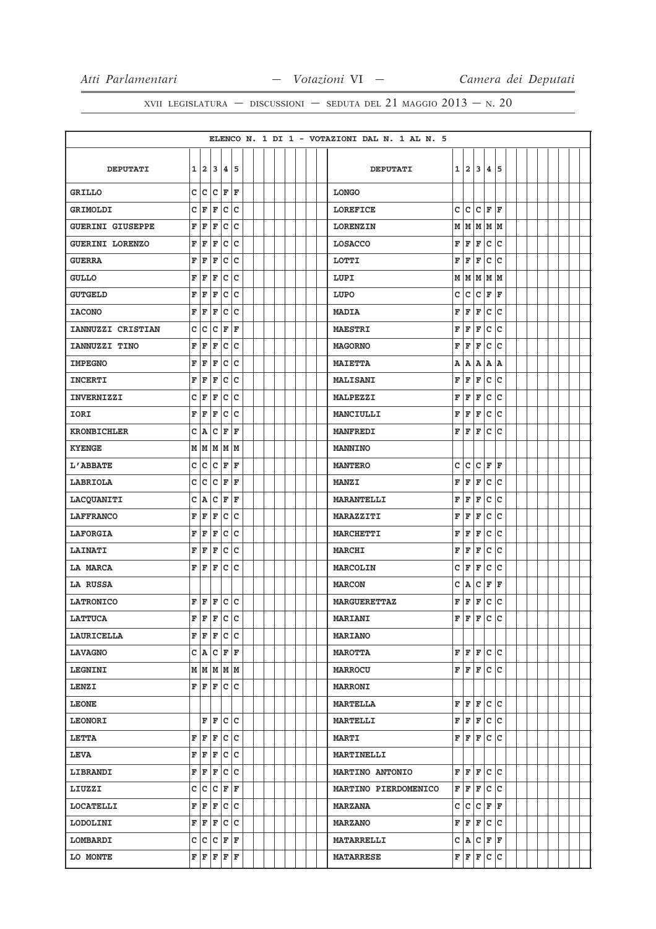|                         |   |                    |                      |     |                         |  |  |  |  | ELENCO N. 1 DI 1 - VOTAZIONI DAL N. 1 AL N. 5 |   |     |     |               |     |  |  |  |  |
|-------------------------|---|--------------------|----------------------|-----|-------------------------|--|--|--|--|-----------------------------------------------|---|-----|-----|---------------|-----|--|--|--|--|
|                         |   |                    |                      |     |                         |  |  |  |  |                                               |   |     |     |               |     |  |  |  |  |
| <b>DEPUTATI</b>         |   |                    | 1 2 3                | 14. | 15                      |  |  |  |  | <b>DEPUTATI</b>                               | 1 | 12. | 3   | 4             | 5   |  |  |  |  |
| <b>GRILLO</b>           | C | c                  | c                    | F   | F                       |  |  |  |  | <b>LONGO</b>                                  |   |     |     |               |     |  |  |  |  |
| <b>GRIMOLDI</b>         | c | F                  | F                    | c   | c                       |  |  |  |  | <b>LOREFICE</b>                               | c | lc. | lc. | F             | ΙF  |  |  |  |  |
| <b>GUERINI GIUSEPPE</b> | F | F                  | F                    | c   | C                       |  |  |  |  | <b>LORENZIN</b>                               | M |     |     | M   M   M   M |     |  |  |  |  |
| <b>GUERINI LORENZO</b>  | F | F                  | F                    | c   | c                       |  |  |  |  | <b>LOSACCO</b>                                | F | F   | F   | c             | lc  |  |  |  |  |
| <b>GUERRA</b>           | F | F                  | F                    | lc. | c                       |  |  |  |  | <b>LOTTI</b>                                  | F | F   | F   | c             | ١c  |  |  |  |  |
| <b>GULLO</b>            | F | F                  | F                    | c   | c                       |  |  |  |  | LUPI                                          | М | M   |     | MMM           |     |  |  |  |  |
| <b>GUTGELD</b>          | F | F                  | F                    | c   | C                       |  |  |  |  | LUPO                                          | c | lc. | c   | F             | F   |  |  |  |  |
| <b>IACONO</b>           | F | F                  | F                    |     | c c                     |  |  |  |  | <b>MADIA</b>                                  | F | F   | F   | lc.           | lc  |  |  |  |  |
| IANNUZZI CRISTIAN       | c | C                  | C                    | F   | $\overline{\mathbf{F}}$ |  |  |  |  | <b>MAESTRI</b>                                | F | F   | F   | $\mathtt{C}$  | lc  |  |  |  |  |
| IANNUZZI TINO           | F | F                  | F                    | c   | c                       |  |  |  |  | <b>MAGORNO</b>                                | F | F   | F   | c             | lc  |  |  |  |  |
| <b>IMPEGNO</b>          | F | F                  | F                    | c   | c                       |  |  |  |  | <b>MAIETTA</b>                                | A | A   | A   | A             | ١A  |  |  |  |  |
| <b>INCERTI</b>          | F | F                  | F                    | lc. | c                       |  |  |  |  | <b>MALISANI</b>                               | F | F   | F   | $\mathbf c$   | ١c  |  |  |  |  |
| <b>INVERNIZZI</b>       | c | F                  | F                    | c   | c                       |  |  |  |  | <b>MALPEZZI</b>                               | F | F   | F   | $\mathtt{C}$  | lc  |  |  |  |  |
| IORI                    | F | F                  | F                    | c   | C                       |  |  |  |  | MANCIULLI                                     | F | F   | F   | $\mathbf c$   | lc  |  |  |  |  |
| <b>KRONBICHLER</b>      | c | A                  | c                    | F   | F                       |  |  |  |  | <b>MANFREDI</b>                               | F | F   | F   | c             | Iс  |  |  |  |  |
| <b>KYENGE</b>           | M | M                  | M                    | M   | lм                      |  |  |  |  | <b>MANNINO</b>                                |   |     |     |               |     |  |  |  |  |
| L'ABBATE                | c | $\bar{\mathbf{C}}$ | c                    | F   | F                       |  |  |  |  | <b>MANTERO</b>                                | C | lc. | c   | F             | F   |  |  |  |  |
| LABRIOLA                | c | C                  | C                    | F   | F                       |  |  |  |  | <b>MANZI</b>                                  | F | F   | F   | c             | lc  |  |  |  |  |
| LACQUANITI              | c | A                  | C                    | F   | l F                     |  |  |  |  | <b>MARANTELLI</b>                             | F | F   | F   | $\mathbf{C}$  | c   |  |  |  |  |
| <b>LAFFRANCO</b>        | F | F                  | F                    | c   | c                       |  |  |  |  | <b>MARAZZITI</b>                              | F | F   | F   | $\mathbf c$   | lc  |  |  |  |  |
| <b>LAFORGIA</b>         | F | F                  | F                    | c   | C                       |  |  |  |  | <b>MARCHETTI</b>                              | F | F   | F   | с             | ١c  |  |  |  |  |
| <b>LAINATI</b>          | F | F                  | F                    | c   | c                       |  |  |  |  | <b>MARCHI</b>                                 | F | F   | F   | c             | lc  |  |  |  |  |
| <b>LA MARCA</b>         | F | F                  | F                    | c   | C                       |  |  |  |  | <b>MARCOLIN</b>                               | C | F   | F   | $\mathtt{C}$  | lc  |  |  |  |  |
| LA RUSSA                |   |                    |                      |     |                         |  |  |  |  | <b>MARCON</b>                                 | c | A   | c   | F             | F   |  |  |  |  |
| <b>LATRONICO</b>        | F | F                  | F                    |     | c c                     |  |  |  |  | <b>MARGUERETTAZ</b>                           | F | F   | F   | c             | Ιc  |  |  |  |  |
| <b>LATTUCA</b>          | F | lF                 | F                    | lc. | c                       |  |  |  |  | <b>MARIANI</b>                                | F | l F | l F | c             | lc  |  |  |  |  |
| <b>LAURICELLA</b>       | F |                    | $F$ $C$ $C$          |     |                         |  |  |  |  | <b>MARIANO</b>                                |   |     |     |               |     |  |  |  |  |
| <b>LAVAGNO</b>          |   | $C$ $A$            | $\mathtt{C}$         | F   | F                       |  |  |  |  | <b>MAROTTA</b>                                | F | F   | F   |               | c c |  |  |  |  |
| <b>LEGNINI</b>          |   |                    | M   M   M   M        |     |                         |  |  |  |  | <b>MARROCU</b>                                |   | F F | F   | c c           |     |  |  |  |  |
| <b>LENZI</b>            | F | F                  | F                    |     | c c                     |  |  |  |  | <b>MARRONI</b>                                |   |     |     |               |     |  |  |  |  |
| <b>LEONE</b>            |   |                    |                      |     |                         |  |  |  |  | <b>MARTELLA</b>                               | F | F   | F   | c             | lc  |  |  |  |  |
| <b>LEONORI</b>          |   | F                  | F                    | c c |                         |  |  |  |  | <b>MARTELLI</b>                               | F | F   | F   | lc.           | Iс  |  |  |  |  |
| <b>LETTA</b>            | F | F                  | F                    | c   | lc.                     |  |  |  |  | <b>MARTI</b>                                  | F | lF. | F   | c             | lc  |  |  |  |  |
| <b>LEVA</b>             | F | F                  | F                    | c c |                         |  |  |  |  | <b>MARTINELLI</b>                             |   |     |     |               |     |  |  |  |  |
| LIBRANDI                | F | F                  | F                    | c   | $\mathtt{C}$            |  |  |  |  | <b>MARTINO ANTONIO</b>                        | F | F   | F   | lc.           | lc  |  |  |  |  |
| LIUZZI                  | С | $\mathsf{C}$       | c                    | F   | F                       |  |  |  |  | MARTINO PIERDOMENICO                          | F | F   | F   | c             | lc  |  |  |  |  |
| <b>LOCATELLI</b>        | F | F                  | $\vert_{\mathbb{F}}$ |     | c c                     |  |  |  |  | <b>MARZANA</b>                                | c | c   | c   | F             | F   |  |  |  |  |
| <b>LODOLINI</b>         | F | F                  | F                    |     | c c                     |  |  |  |  | <b>MARZANO</b>                                | F | F   | F   | c             | lc. |  |  |  |  |
| LOMBARDI                | c |                    | c c                  | F   | F                       |  |  |  |  | <b>MATARRELLI</b>                             | c | A.  | c   | F             | lF. |  |  |  |  |
| LO MONTE                | F | F                  | F                    | F   | F                       |  |  |  |  | <b>MATARRESE</b>                              |   | F F | F   |               | c c |  |  |  |  |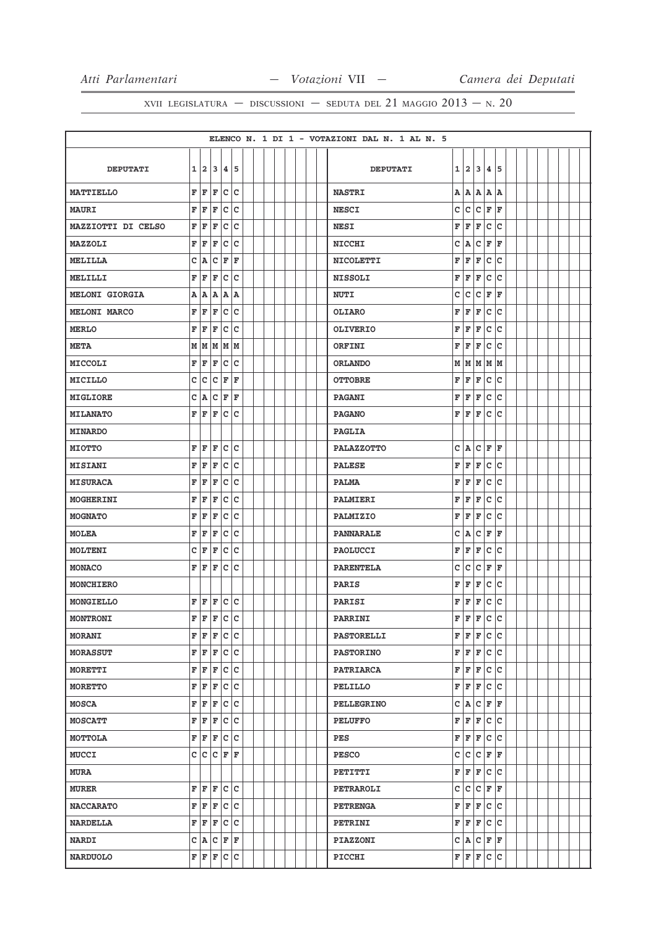|                       |              |     |           |             |                        |  |  |  |  | ELENCO N. 1 DI 1 - VOTAZIONI DAL N. 1 AL N. 5 |   |         |     |              |     |  |  |  |  |
|-----------------------|--------------|-----|-----------|-------------|------------------------|--|--|--|--|-----------------------------------------------|---|---------|-----|--------------|-----|--|--|--|--|
|                       |              |     |           |             |                        |  |  |  |  |                                               |   |         |     |              |     |  |  |  |  |
| <b>DEPUTATI</b>       |              | 1 2 | 13        | l4 l        | 15                     |  |  |  |  | <b>DEPUTATI</b>                               | 1 | 12.     | 3   | 4            | 5   |  |  |  |  |
| <b>MATTIELLO</b>      | F            | F   | F         | c           | c                      |  |  |  |  | <b>NASTRI</b>                                 | Α | A       | A   | A            | A   |  |  |  |  |
| <b>MAURI</b>          | F            | F   | F         | c           | C                      |  |  |  |  | <b>NESCI</b>                                  | c | lc.     | c   | F            | F   |  |  |  |  |
| MAZZIOTTI DI CELSO    | F            | F   | F         | C           | C                      |  |  |  |  | <b>NESI</b>                                   | F | F       | F   | $\mathbf c$  | c   |  |  |  |  |
| MAZZOLI               | F            | F   | F         | c           | c                      |  |  |  |  | <b>NICCHI</b>                                 | c | A       | c   | F            | F   |  |  |  |  |
| <b>MELILLA</b>        | C            | A   | c         | F           | $\mathbf F$            |  |  |  |  | <b>NICOLETTI</b>                              | F | F       | F   | $\mathbf{C}$ | c   |  |  |  |  |
| MELILLI               | F            | F   | F         | c           | c                      |  |  |  |  | <b>NISSOLI</b>                                | F | F       | F   | c            | ١c  |  |  |  |  |
| <b>MELONI GIORGIA</b> | Α            | A   | Α         | Α           | A                      |  |  |  |  | <b>NUTI</b>                                   | с | c       | c   | F            | F   |  |  |  |  |
| <b>MELONI MARCO</b>   | F            | F   | F         | c           | c                      |  |  |  |  | <b>OLIARO</b>                                 | F | F       | F   | $\mathtt{C}$ | lc  |  |  |  |  |
| <b>MERLO</b>          | F            | F   | F         | c           | C                      |  |  |  |  | <b>OLIVERIO</b>                               | F | F       | F   | $\mathbf c$  | lc  |  |  |  |  |
| <b>META</b>           | М            | lм  | M         | M           | lм                     |  |  |  |  | ORFINI                                        | F | F       | F   | c            | c   |  |  |  |  |
| MICCOLI               | F            | F   | F         | c           | c                      |  |  |  |  | <b>ORLANDO</b>                                | М | M       | M   | MM           |     |  |  |  |  |
| MICILLO               | C            | c   | c         | F           | $\mathbf F$            |  |  |  |  | <b>OTTOBRE</b>                                | F | F       | F   | c            | ١c  |  |  |  |  |
| MIGLIORE              | с            | A   | c         | F           | F                      |  |  |  |  | <b>PAGANI</b>                                 | F | F       | F   | c            | Ιc  |  |  |  |  |
| <b>MILANATO</b>       | F            | F   | F         | c           | c                      |  |  |  |  | <b>PAGANO</b>                                 | F | F       | F   | $\mathtt{C}$ | lc  |  |  |  |  |
| <b>MINARDO</b>        |              |     |           |             |                        |  |  |  |  | <b>PAGLIA</b>                                 |   |         |     |              |     |  |  |  |  |
| <b>MIOTTO</b>         | F            | F   | F         | с           | C                      |  |  |  |  | <b>PALAZZOTTO</b>                             | C | A       | c   | F            | ΙF  |  |  |  |  |
| <b>MISIANI</b>        | F            | F   | F         | c           | C                      |  |  |  |  | <b>PALESE</b>                                 | F | F       | F   | c            | c   |  |  |  |  |
| <b>MISURACA</b>       | F            | F   | F         | c           | c                      |  |  |  |  | <b>PALMA</b>                                  | F | F       | F   | $\mathtt{C}$ | Ιc  |  |  |  |  |
| MOGHERINI             | F            | F   | F         | c           | C                      |  |  |  |  | PALMIERI                                      | F | F       | F   | с            | c   |  |  |  |  |
| <b>MOGNATO</b>        | F            | F   | F         | c           | C                      |  |  |  |  | PALMIZIO                                      | F | F       | F   | c            | Ιc  |  |  |  |  |
| <b>MOLEA</b>          | F            | F   | F         | c           | c                      |  |  |  |  | <b>PANNARALE</b>                              | c | A       | c   | F            | F   |  |  |  |  |
| MOLTENI               | $\mathbf C$  | F   | F         | c           | C                      |  |  |  |  | <b>PAOLUCCI</b>                               | F | F       | F   | $\mathbf c$  | c   |  |  |  |  |
| <b>MONACO</b>         | F            | F   | F         | c           | c                      |  |  |  |  | <b>PARENTELA</b>                              | c | lc.     | c   | F            | F   |  |  |  |  |
| <b>MONCHIERO</b>      |              |     |           |             |                        |  |  |  |  | <b>PARIS</b>                                  | F | F       | F   | c            | c   |  |  |  |  |
| MONGIELLO             | F            | F   | F         | c c         |                        |  |  |  |  | PARISI                                        | F | F       | F   | $\mathtt{C}$ | Ιc  |  |  |  |  |
| <b>MONTRONI</b>       | $\mathbf{F}$ | F   | ΙF        | c           | c                      |  |  |  |  | PARRINI                                       | F | F       | F   | c            | ١c  |  |  |  |  |
| <b>MORANI</b>         | F            | F   | F         | c c         |                        |  |  |  |  | <b>PASTORELLI</b>                             | F | F       | F   | c c          |     |  |  |  |  |
| <b>MORASSUT</b>       | F            | F   | F         | c           | c                      |  |  |  |  | <b>PASTORINO</b>                              | F | F       | F   | c            | lc  |  |  |  |  |
| MORETTI               | F            | F   | F         | c           | c                      |  |  |  |  | <b>PATRIARCA</b>                              | F | F       | F   | c            | lc  |  |  |  |  |
| <b>MORETTO</b>        | F            | F   | F         | c c         |                        |  |  |  |  | PELILLO                                       | F | F       | F   | $ {\bf c} $  | c   |  |  |  |  |
| <b>MOSCA</b>          | F            | F   | F         | c           | c                      |  |  |  |  | <b>PELLEGRINO</b>                             | с | A       | c   | F            | F   |  |  |  |  |
| <b>MOSCATT</b>        | F            | F   | F         |             | c c                    |  |  |  |  | <b>PELUFFO</b>                                | F | F       | F   |              | c c |  |  |  |  |
| MOTTOLA               | F            | F   | F         | c           | c                      |  |  |  |  | PES                                           | F | F       | F   | c            | Iс  |  |  |  |  |
| <b>MUCCI</b>          | c            | c.  | c         | F           | F                      |  |  |  |  | <b>PESCO</b>                                  | с | c       |     | C F          | F   |  |  |  |  |
| <b>MURA</b>           |              |     |           |             |                        |  |  |  |  | PETITTI                                       | F | F       | F   | c            | lc  |  |  |  |  |
| <b>MURER</b>          | F            | F   | F         |             | $ {\rm c}\, {\rm c}\,$ |  |  |  |  | <b>PETRAROLI</b>                              | c | lc.     | lc. | F            | ΙF  |  |  |  |  |
| <b>NACCARATO</b>      | F            | F   | F         | c c         |                        |  |  |  |  | <b>PETRENGA</b>                               | F | F       | F   | lc.          | Iс  |  |  |  |  |
| <b>NARDELLA</b>       | F            | F   | F         | c           | c                      |  |  |  |  | PETRINI                                       | F | F       | F   | c            | ١c  |  |  |  |  |
| <b>NARDI</b>          |              |     | C A C F F |             |                        |  |  |  |  | <b>PIAZZONI</b>                               |   | C A C F |     |              | F   |  |  |  |  |
| <b>NARDUOLO</b>       | F            | F   | F         | $ {\bf c} $ | c                      |  |  |  |  | PICCHI                                        | F | F       | F   | c            | ∣c  |  |  |  |  |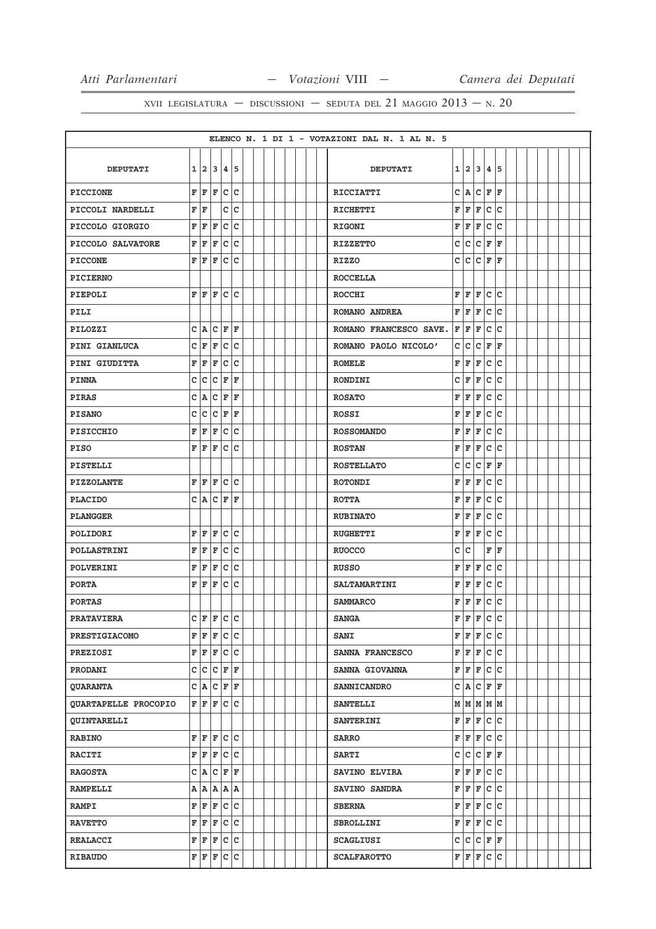|                             |             |            |                     |             |     |  |  |  |  | ELENCO N. 1 DI 1 - VOTAZIONI DAL N. 1 AL N. 5 |   |     |     |              |     |  |  |  |  |
|-----------------------------|-------------|------------|---------------------|-------------|-----|--|--|--|--|-----------------------------------------------|---|-----|-----|--------------|-----|--|--|--|--|
|                             |             |            |                     |             |     |  |  |  |  |                                               |   |     |     |              |     |  |  |  |  |
| <b>DEPUTATI</b>             | 1           | 12         | 13                  |             | 4 5 |  |  |  |  | <b>DEPUTATI</b>                               | 1 | 12. | 3   | 4            | 5   |  |  |  |  |
| <b>PICCIONE</b>             | F           | F          | F                   | c           | c   |  |  |  |  | <b>RICCIATTI</b>                              | c | A   | lc. | F            | F   |  |  |  |  |
| PICCOLI NARDELLI            | F           | F          |                     | c           | C   |  |  |  |  | <b>RICHETTI</b>                               | F | F   | F   | c            | ١c  |  |  |  |  |
| PICCOLO GIORGIO             | F           | ΙF         | F                   | с           | C   |  |  |  |  | <b>RIGONI</b>                                 | F | l F | F   | c            | c   |  |  |  |  |
| PICCOLO SALVATORE           | F           | F          | F                   |             | c c |  |  |  |  | <b>RIZZETTO</b>                               | c | lc. | c   | F            | ΙF  |  |  |  |  |
| <b>PICCONE</b>              | F           | ΙF         | F                   | c           | C   |  |  |  |  | <b>RIZZO</b>                                  | c | c   | c   | F            | F   |  |  |  |  |
| <b>PICIERNO</b>             |             |            |                     |             |     |  |  |  |  | <b>ROCCELLA</b>                               |   |     |     |              |     |  |  |  |  |
| <b>PIEPOLI</b>              | F           | ΙF         | F                   | c           | C   |  |  |  |  | <b>ROCCHI</b>                                 | F | F   | F   | $\mathtt{C}$ | c   |  |  |  |  |
| PILI                        |             |            |                     |             |     |  |  |  |  | ROMANO ANDREA                                 | F | F   | F   | $\mathbf c$  | c   |  |  |  |  |
| PILOZZI                     | c           | A          | c                   | F           | ΙF  |  |  |  |  | ROMANO FRANCESCO SAVE.                        | F | lF. | F   | c            | ١c  |  |  |  |  |
| PINI GIANLUCA               | c           | F          | F                   | c           | C   |  |  |  |  | ROMANO PAOLO NICOLO'                          | c | c   | c   | F            | F   |  |  |  |  |
| PINI GIUDITTA               | F           | F          | F                   | c           | c   |  |  |  |  | <b>ROMELE</b>                                 | F | F   | F   | c            | Ιc  |  |  |  |  |
| <b>PINNA</b>                | c           | c          | с                   | F           | F   |  |  |  |  | <b>RONDINI</b>                                | c | F   | F   | c            | c   |  |  |  |  |
| <b>PIRAS</b>                | c           | A          | C                   | F           | ΙF  |  |  |  |  | <b>ROSATO</b>                                 | F | F   | F   | c            | c   |  |  |  |  |
| <b>PISANO</b>               | C           | c          | C                   | F           | F   |  |  |  |  | <b>ROSSI</b>                                  | F | F   | F   | $\mathbf c$  | lc  |  |  |  |  |
| <b>PISICCHIO</b>            | F           | F          | F                   | c           | C   |  |  |  |  | <b>ROSSOMANDO</b>                             | F | F   | F   | c            | c   |  |  |  |  |
| <b>PISO</b>                 | F           | F          | F                   | c           | c   |  |  |  |  | <b>ROSTAN</b>                                 | F | F   | F   | c            | c   |  |  |  |  |
| PISTELLI                    |             |            |                     |             |     |  |  |  |  | <b>ROSTELLATO</b>                             | c | c   | c   | F            | F   |  |  |  |  |
| <b>PIZZOLANTE</b>           | F           | F          | F                   |             | c c |  |  |  |  | <b>ROTONDI</b>                                | F | F   | F   | c            | Ιc  |  |  |  |  |
| <b>PLACIDO</b>              | c           | A          | с                   | F           | F   |  |  |  |  | <b>ROTTA</b>                                  | F | F   | F   | c            | c   |  |  |  |  |
| <b>PLANGGER</b>             |             |            |                     |             |     |  |  |  |  | <b>RUBINATO</b>                               | F | F   | F   | $\mathtt{C}$ | c   |  |  |  |  |
| POLIDORI                    | F           | F          | F                   | c           | C   |  |  |  |  | <b>RUGHETTI</b>                               | F | F   | F   | $\mathbf c$  | lc  |  |  |  |  |
| <b>POLLASTRINI</b>          | F           | F          | F                   | c           | C   |  |  |  |  | <b>RUOCCO</b>                                 | c | c   |     | F            | F   |  |  |  |  |
| POLVERINI                   | F           | F          | F                   | c           | c   |  |  |  |  | <b>RUSSO</b>                                  | F | F   | F   | c            | c   |  |  |  |  |
| <b>PORTA</b>                | F           | lF         | ΙF                  | c           | C   |  |  |  |  | <b>SALTAMARTINI</b>                           | F | F   | F   | $\mathbf C$  | c   |  |  |  |  |
| <b>PORTAS</b>               |             |            |                     |             |     |  |  |  |  | <b>SAMMARCO</b>                               | F | F   | F   | c            | Ιc  |  |  |  |  |
| <b>PRATAVIERA</b>           |             |            | $C$ $F$ $F$ $C$ $C$ |             |     |  |  |  |  | <b>SANGA</b>                                  | F | l F | F   | c            | ١c  |  |  |  |  |
| <b>PRESTIGIACOMO</b>        | F           | F          | F C C               |             |     |  |  |  |  | <b>SANI</b>                                   | F | F   | F   | c c          |     |  |  |  |  |
| <b>PREZIOSI</b>             | F           |            | F F                 | c c         |     |  |  |  |  | SANNA FRANCESCO                               | F | F   | F   | c c          |     |  |  |  |  |
| PRODANI                     | $\mathsf c$ |            | c c                 | $ {\bf F} $ | F   |  |  |  |  | SANNA GIOVANNA                                | F | F   | F   | c            | lc  |  |  |  |  |
| <b>QUARANTA</b>             |             |            | C A C F F           |             |     |  |  |  |  | <b>SANNICANDRO</b>                            | c | A   |     | C F F        |     |  |  |  |  |
| <b>QUARTAPELLE PROCOPIO</b> | F           | F          | F                   | lc.         | Iс  |  |  |  |  | <b>SANTELLI</b>                               |   |     |     | м м м м м    |     |  |  |  |  |
| <b>QUINTARELLI</b>          |             |            |                     |             |     |  |  |  |  | <b>SANTERINI</b>                              | F | F   | F   | c c          |     |  |  |  |  |
| <b>RABINO</b>               | F           | F          | F                   |             | c c |  |  |  |  | <b>SARRO</b>                                  | F | F   | F   | c            | c   |  |  |  |  |
| <b>RACITI</b>               | F           | F          | F                   | c c         |     |  |  |  |  | <b>SARTI</b>                                  | c | c   |     | $C$ $F$ $F$  |     |  |  |  |  |
| <b>RAGOSTA</b>              |             | C A        | c                   | F F         |     |  |  |  |  | SAVINO ELVIRA                                 | F | F   | F   | lc.          | lc. |  |  |  |  |
| <b>RAMPELLI</b>             |             |            | A   A   A           | A A         |     |  |  |  |  | SAVINO SANDRA                                 | F | F   | F   | lc.          | lc. |  |  |  |  |
| <b>RAMPI</b>                | F           | $ {\bf F}$ | F                   |             | c c |  |  |  |  | <b>SBERNA</b>                                 | F | F   | F   | c c          |     |  |  |  |  |
| <b>RAVETTO</b>              | F           | F          | F                   | c           | lc  |  |  |  |  | <b>SBROLLINI</b>                              | F | F   | F   |              | c c |  |  |  |  |
| <b>REALACCI</b>             | F           |            | F F                 | c c         |     |  |  |  |  | <b>SCAGLIUSI</b>                              | c |     |     | C C F F      |     |  |  |  |  |
|                             |             |            |                     |             |     |  |  |  |  |                                               |   |     |     |              |     |  |  |  |  |
| <b>RIBAUDO</b>              | F           |            | F F                 | c c         |     |  |  |  |  | <b>SCALFAROTTO</b>                            | F | F F |     | c c          |     |  |  |  |  |